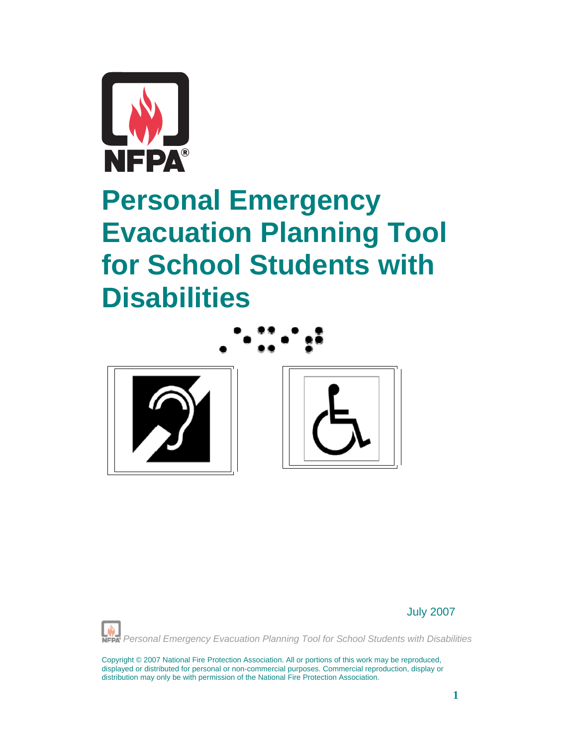

# **Personal Emergency Evacuation Planning Tool for School Students with Disabilities**







July 2007

*Personal Emergency Evacuation Planning Tool for School Students with Disabilities*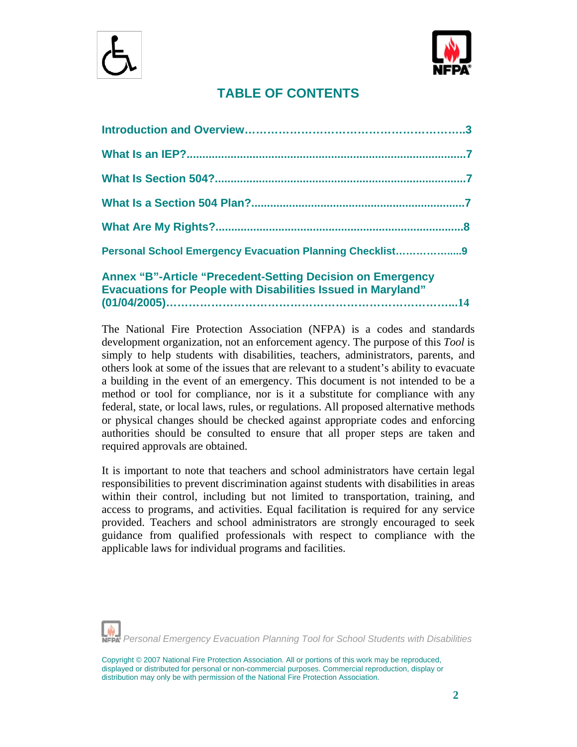



## **TABLE OF CONTENTS**

| Personal School Emergency Evacuation Planning Checklist9                                                                                 |  |
|------------------------------------------------------------------------------------------------------------------------------------------|--|
| <b>Annex "B"-Article "Precedent-Setting Decision on Emergency</b><br><b>Evacuations for People with Disabilities Issued in Maryland"</b> |  |

The National Fire Protection Association (NFPA) is a codes and standards development organization, not an enforcement agency. The purpose of this *Tool* is simply to help students with disabilities, teachers, administrators, parents, and others look at some of the issues that are relevant to a student's ability to evacuate a building in the event of an emergency. This document is not intended to be a method or tool for compliance, nor is it a substitute for compliance with any federal, state, or local laws, rules, or regulations. All proposed alternative methods or physical changes should be checked against appropriate codes and enforcing authorities should be consulted to ensure that all proper steps are taken and required approvals are obtained.

It is important to note that teachers and school administrators have certain legal responsibilities to prevent discrimination against students with disabilities in areas within their control, including but not limited to transportation, training, and access to programs, and activities. Equal facilitation is required for any service provided. Teachers and school administrators are strongly encouraged to seek guidance from qualified professionals with respect to compliance with the applicable laws for individual programs and facilities.



*Personal Emergency Evacuation Planning Tool for School Students with Disabilities*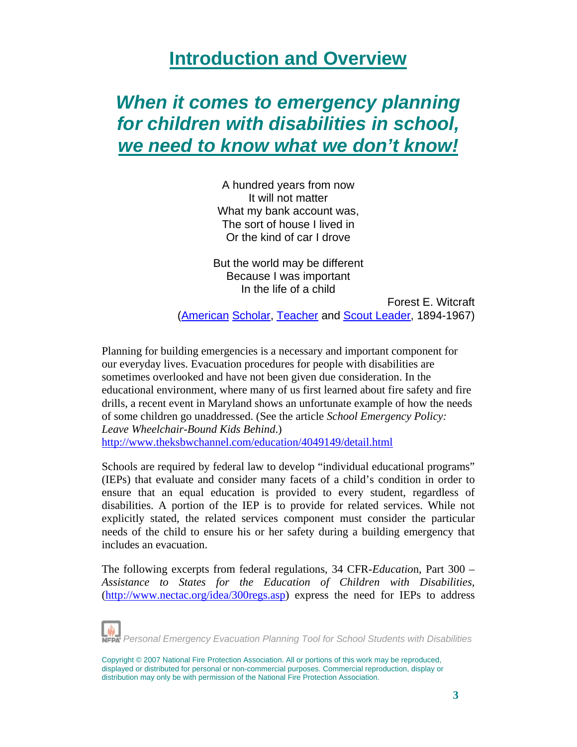# **Introduction and Overview**

# *When it comes to emergency planning for children with disabilities in school, we need to know what we don't know!*

A hundred years from now It will not matter What my bank account was, The sort of house I lived in Or the kind of car I drove

But the world may be different Because I was important In the life of a child

Forest E. Witcraft (American Scholar, Teacher and Scout Leader, 1894-1967)

Planning for building emergencies is a necessary and important component for our everyday lives. Evacuation procedures for people with disabilities are sometimes overlooked and have not been given due consideration. In the educational environment, where many of us first learned about fire safety and fire drills, a recent event in Maryland shows an unfortunate example of how the needs of some children go unaddressed. (See the article *School Emergency Policy: Leave Wheelchair-Bound Kids Behind*.) http://www.theksbwchannel.com/education/4049149/detail.html

Schools are required by federal law to develop "individual educational programs" (IEPs) that evaluate and consider many facets of a child's condition in order to ensure that an equal education is provided to every student, regardless of disabilities. A portion of the IEP is to provide for related services. While not explicitly stated, the related services component must consider the particular needs of the child to ensure his or her safety during a building emergency that includes an evacuation.

The following excerpts from federal regulations, 34 CFR-*Educatio*n, Part 300 – *Assistance to States for the Education of Children with Disabilities,* (http://www.nectac.org/idea/300regs.asp) express the need for IEPs to address

*Personal Emergency Evacuation Planning Tool for School Students with Disabilities*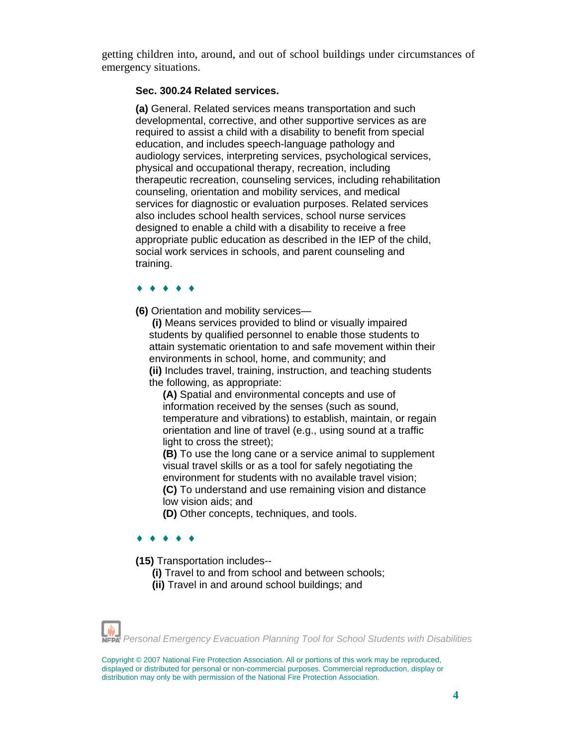getting children into, around, and out of school buildings under circumstances of emergency situations.

#### **Sec. 300.24 Related services.**

**(a)** General. Related services means transportation and such developmental, corrective, and other supportive services as are required to assist a child with a disability to benefit from special education, and includes speech-language pathology and audiology services, interpreting services, psychological services, physical and occupational therapy, recreation, including therapeutic recreation, counseling services, including rehabilitation counseling, orientation and mobility services, and medical services for diagnostic or evaluation purposes. Related services also includes school health services, school nurse services designed to enable a child with a disability to receive a free appropriate public education as described in the IEP of the child, social work services in schools, and parent counseling and training.

#### ♦ ♦ ♦ ♦ ♦

**(6)** Orientation and mobility services—

 **(i)** Means services provided to blind or visually impaired students by qualified personnel to enable those students to attain systematic orientation to and safe movement within their environments in school, home, and community; and **(ii)** Includes travel, training, instruction, and teaching students the following, as appropriate:

**(A)** Spatial and environmental concepts and use of information received by the senses (such as sound, temperature and vibrations) to establish, maintain, or regain orientation and line of travel (e.g., using sound at a traffic light to cross the street);

**(B)** To use the long cane or a service animal to supplement visual travel skills or as a tool for safely negotiating the environment for students with no available travel vision; **(C)** To understand and use remaining vision and distance

low vision aids; and

**(D)** Other concepts, techniques, and tools.

#### ♦ ♦ ♦ ♦ ♦

**(15)** Transportation includes--

- **(i)** Travel to and from school and between schools;
- **(ii)** Travel in and around school buildings; and



*Personal Emergency Evacuation Planning Tool for School Students with Disabilities*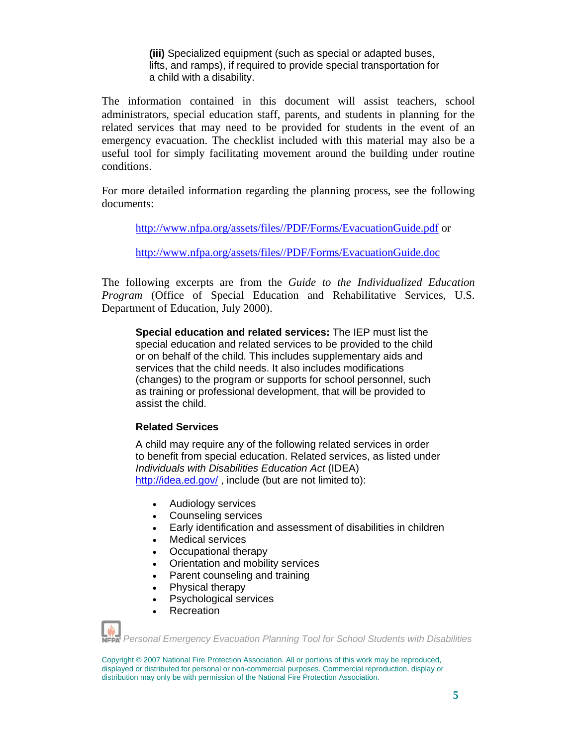**(iii)** Specialized equipment (such as special or adapted buses, lifts, and ramps), if required to provide special transportation for a child with a disability.

The information contained in this document will assist teachers, school administrators, special education staff, parents, and students in planning for the related services that may need to be provided for students in the event of an emergency evacuation. The checklist included with this material may also be a useful tool for simply facilitating movement around the building under routine conditions.

For more detailed information regarding the planning process, see the following documents:

http://www.nfpa.org/assets/files//PDF/Forms/EvacuationGuide.pdf or

http://www.nfpa.org/assets/files//PDF/Forms/EvacuationGuide.doc

The following excerpts are from the *Guide to the Individualized Education Program* (Office of Special Education and Rehabilitative Services, U.S. Department of Education, July 2000).

**Special education and related services:** The IEP must list the special education and related services to be provided to the child or on behalf of the child. This includes supplementary aids and services that the child needs. It also includes modifications (changes) to the program or supports for school personnel, such as training or professional development, that will be provided to assist the child.

#### **Related Services**

A child may require any of the following related services in order to benefit from special education. Related services, as listed under *Individuals with Disabilities Education Act* (IDEA) http://idea.ed.gov/ , include (but are not limited to):

- Audiology services
- Counseling services
- Early identification and assessment of disabilities in children
- Medical services
- Occupational therapy
- Orientation and mobility services
- Parent counseling and training
- Physical therapy
- Psychological services
- **Recreation**



*Personal Emergency Evacuation Planning Tool for School Students with Disabilities*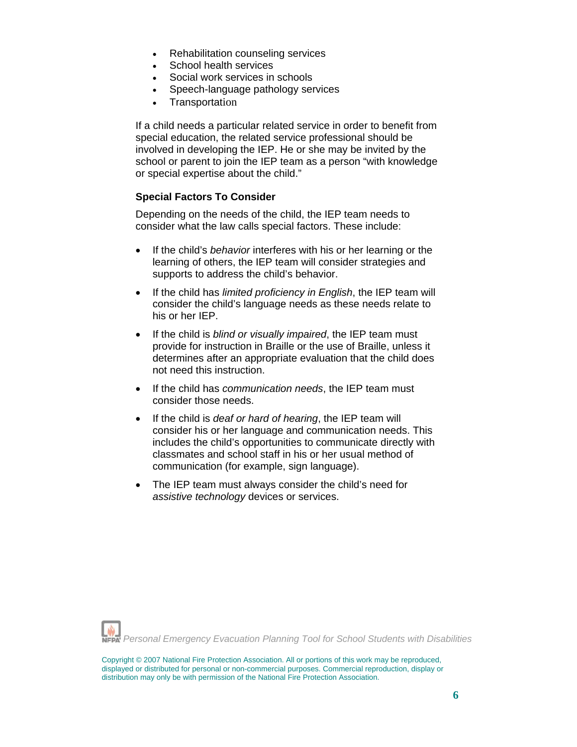- Rehabilitation counseling services
- School health services
- Social work services in schools
- Speech-language pathology services
- **Transportation**

If a child needs a particular related service in order to benefit from special education, the related service professional should be involved in developing the IEP. He or she may be invited by the school or parent to join the IEP team as a person "with knowledge or special expertise about the child."

#### **Special Factors To Consider**

Depending on the needs of the child, the IEP team needs to consider what the law calls special factors. These include:

- If the child's *behavior* interferes with his or her learning or the learning of others, the IEP team will consider strategies and supports to address the child's behavior.
- If the child has *limited proficiency in English*, the IEP team will consider the child's language needs as these needs relate to his or her IEP.
- If the child is *blind or visually impaired*, the IEP team must provide for instruction in Braille or the use of Braille, unless it determines after an appropriate evaluation that the child does not need this instruction.
- If the child has *communication needs*, the IEP team must consider those needs.
- If the child is *deaf or hard of hearing*, the IEP team will consider his or her language and communication needs. This includes the child's opportunities to communicate directly with classmates and school staff in his or her usual method of communication (for example, sign language).
- The IEP team must always consider the child's need for *assistive technology* devices or services.



*Personal Emergency Evacuation Planning Tool for School Students with Disabilities*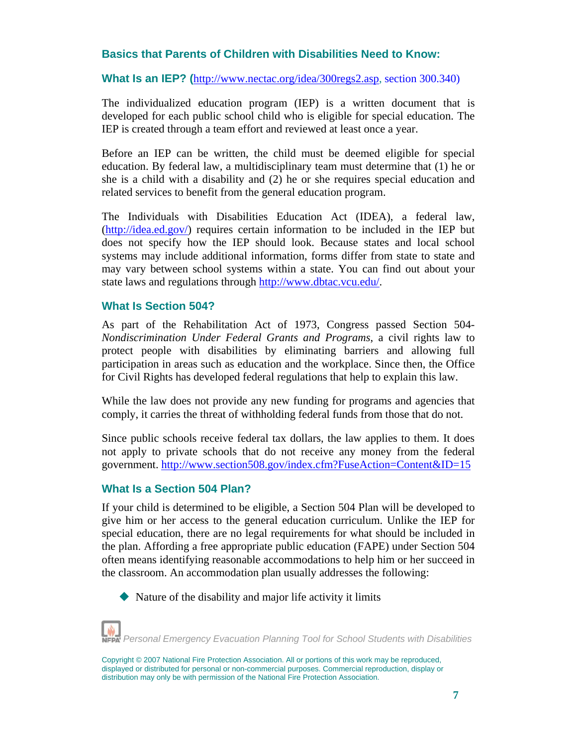#### **Basics that Parents of Children with Disabilities Need to Know:**

**What Is an IEP? (**http://www.nectac.org/idea/300regs2.asp, section 300.340)

The individualized education program (IEP) is a written document that is developed for each public school child who is eligible for special education. The IEP is created through a team effort and reviewed at least once a year.

Before an IEP can be written, the child must be deemed eligible for special education. By federal law, a multidisciplinary team must determine that (1) he or she is a child with a disability and (2) he or she requires special education and related services to benefit from the general education program.

The Individuals with Disabilities Education Act (IDEA), a federal law, (http://idea.ed.gov/) requires certain information to be included in the IEP but does not specify how the IEP should look. Because states and local school systems may include additional information, forms differ from state to state and may vary between school systems within a state. You can find out about your state laws and regulations through http://www.dbtac.vcu.edu/.

#### **What Is Section 504?**

As part of the Rehabilitation Act of 1973, Congress passed Section 504- *Nondiscrimination Under Federal Grants and Programs*, a civil rights law to protect people with disabilities by eliminating barriers and allowing full participation in areas such as education and the workplace. Since then, the Office for Civil Rights has developed federal regulations that help to explain this law.

While the law does not provide any new funding for programs and agencies that comply, it carries the threat of withholding federal funds from those that do not.

Since public schools receive federal tax dollars, the law applies to them. It does not apply to private schools that do not receive any money from the federal government. http://www.section508.gov/index.cfm?FuseAction=Content&ID=15

#### **What Is a Section 504 Plan?**

If your child is determined to be eligible, a Section 504 Plan will be developed to give him or her access to the general education curriculum. Unlike the IEP for special education, there are no legal requirements for what should be included in the plan. Affording a free appropriate public education (FAPE) under Section 504 often means identifying reasonable accommodations to help him or her succeed in the classroom. An accommodation plan usually addresses the following:

 $\blacklozenge$  Nature of the disability and major life activity it limits

*Personal Emergency Evacuation Planning Tool for School Students with Disabilities*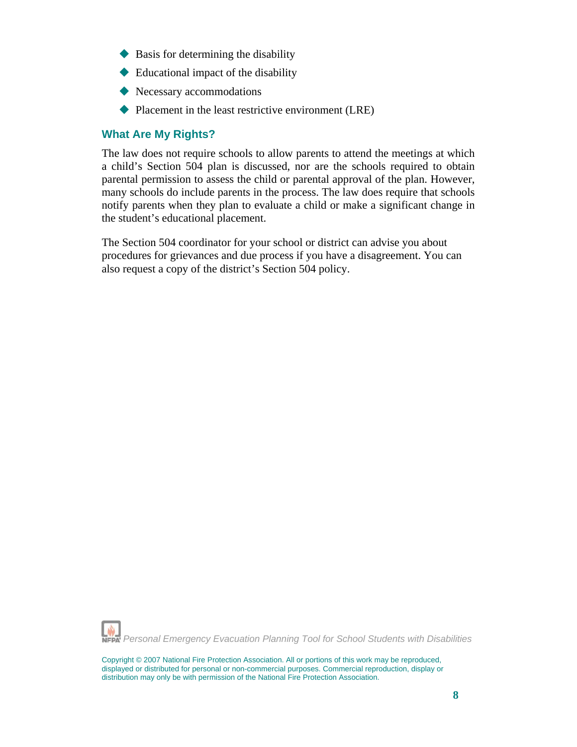- $\blacklozenge$  Basis for determining the disability
- $\blacklozenge$  Educational impact of the disability
- $\blacklozenge$  Necessary accommodations
- ◆ Placement in the least restrictive environment (LRE)

#### **What Are My Rights?**

The law does not require schools to allow parents to attend the meetings at which a child's Section 504 plan is discussed, nor are the schools required to obtain parental permission to assess the child or parental approval of the plan. However, many schools do include parents in the process. The law does require that schools notify parents when they plan to evaluate a child or make a significant change in the student's educational placement.

The Section 504 coordinator for your school or district can advise you about procedures for grievances and due process if you have a disagreement. You can also request a copy of the district's Section 504 policy.

*Personal Emergency Evacuation Planning Tool for School Students with Disabilities*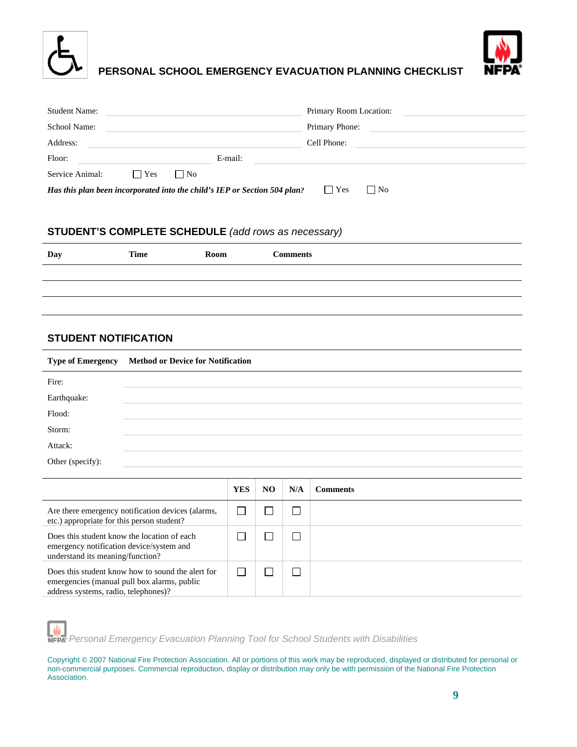

## **PERSONAL SCHOOL EMERGENCY EVACUATION PLANNING CHECKLIST**



| <b>Student Name:</b> |     |    |                                                                           | Primary Room Location: |  |
|----------------------|-----|----|---------------------------------------------------------------------------|------------------------|--|
| School Name:         |     |    |                                                                           | Primary Phone:         |  |
| Address:             |     |    |                                                                           | Cell Phone:            |  |
| Floor:               |     |    | E-mail:                                                                   |                        |  |
| Service Animal:      | Yes | No |                                                                           |                        |  |
|                      |     |    | Has this plan been incorporated into the child's IEP or Section 504 plan? | Yes<br>  No            |  |

#### **STUDENT'S COMPLETE SCHEDULE** *(add rows as necessary)*

| Day | Time | Room | <b>Comments</b> |
|-----|------|------|-----------------|
|     |      |      |                 |
|     |      |      |                 |
|     |      |      |                 |

#### **STUDENT NOTIFICATION**

|                  | Type of Emergency Method or Device for Notification |
|------------------|-----------------------------------------------------|
| Fire:            |                                                     |
| Earthquake:      |                                                     |
| Flood:           |                                                     |
| Storm:           |                                                     |
| Attack:          |                                                     |
| Other (specify): |                                                     |

|                                                                                                                                          | <b>YES</b> | NO. | N/A | <b>Comments</b> |
|------------------------------------------------------------------------------------------------------------------------------------------|------------|-----|-----|-----------------|
| Are there emergency notification devices (alarms,<br>etc.) appropriate for this person student?                                          |            |     |     |                 |
| Does this student know the location of each<br>emergency notification device/system and<br>understand its meaning/function?              |            |     |     |                 |
| Does this student know how to sound the alert for<br>emergencies (manual pull box alarms, public<br>address systems, radio, telephones)? |            |     |     |                 |

*Personal Emergency Evacuation Planning Tool for School Students with Disabilities*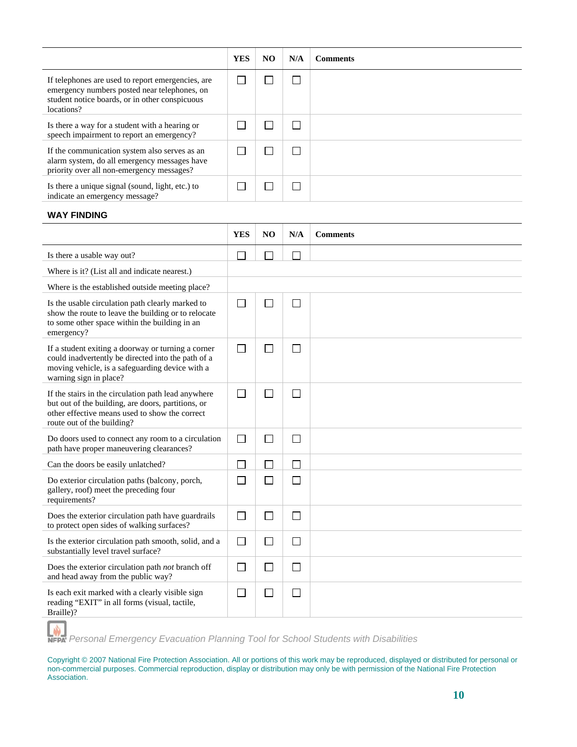|                                                                                                                                                                   | <b>YES</b> | N <sub>O</sub> | N/A | <b>Comments</b> |
|-------------------------------------------------------------------------------------------------------------------------------------------------------------------|------------|----------------|-----|-----------------|
| If telephones are used to report emergencies, are<br>emergency numbers posted near telephones, on<br>student notice boards, or in other conspicuous<br>locations? |            |                |     |                 |
| Is there a way for a student with a hearing or<br>speech impairment to report an emergency?                                                                       |            |                |     |                 |
| If the communication system also serves as an<br>alarm system, do all emergency messages have<br>priority over all non-emergency messages?                        |            |                |     |                 |
| Is there a unique signal (sound, light, etc.) to<br>indicate an emergency message?                                                                                |            |                |     |                 |

#### **WAY FINDING**

|                                                                                                                                                                                           | <b>YES</b>     | NO             | N/A    | <b>Comments</b> |
|-------------------------------------------------------------------------------------------------------------------------------------------------------------------------------------------|----------------|----------------|--------|-----------------|
| Is there a usable way out?                                                                                                                                                                |                |                |        |                 |
| Where is it? (List all and indicate nearest.)                                                                                                                                             |                |                |        |                 |
| Where is the established outside meeting place?                                                                                                                                           |                |                |        |                 |
| Is the usable circulation path clearly marked to<br>show the route to leave the building or to relocate<br>to some other space within the building in an<br>emergency?                    | Г              | $\blacksquare$ | П      |                 |
| If a student exiting a doorway or turning a corner<br>could inadvertently be directed into the path of a<br>moving vehicle, is a safeguarding device with a<br>warning sign in place?     | $\Box$         | $\blacksquare$ | $\Box$ |                 |
| If the stairs in the circulation path lead anywhere<br>but out of the building, are doors, partitions, or<br>other effective means used to show the correct<br>route out of the building? | Г              |                | П      |                 |
| Do doors used to connect any room to a circulation<br>path have proper maneuvering clearances?                                                                                            | Г              | $\Box$         | П      |                 |
| Can the doors be easily unlatched?                                                                                                                                                        | $\mathbb{R}^n$ | $\mathcal{L}$  | $\Box$ |                 |
| Do exterior circulation paths (balcony, porch,<br>gallery, roof) meet the preceding four<br>requirements?                                                                                 | $\Box$         | $\Box$         | $\Box$ |                 |
| Does the exterior circulation path have guardrails<br>to protect open sides of walking surfaces?                                                                                          | Г              | $\sim$         | П      |                 |
| Is the exterior circulation path smooth, solid, and a<br>substantially level travel surface?                                                                                              | Г              | $\mathcal{L}$  | П      |                 |
| Does the exterior circulation path not branch off<br>and head away from the public way?                                                                                                   | П              | $\Box$         | П      |                 |
| Is each exit marked with a clearly visible sign<br>reading "EXIT" in all forms (visual, tactile,<br>Braille)?                                                                             | $\Box$         | $\Box$         | П      |                 |



**PERTY Personal Emergency Evacuation Planning Tool for School Students with Disabilities**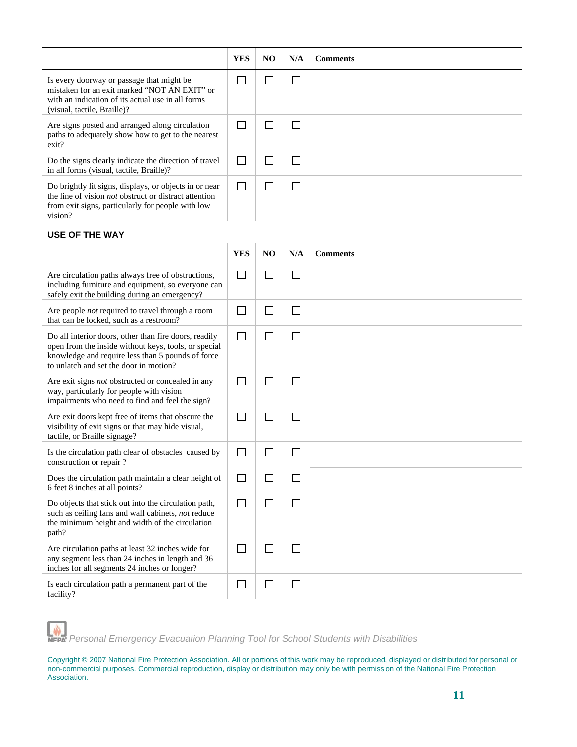|                                                                                                                                                                                        | <b>YES</b> | NO. | N/A | <b>Comments</b> |
|----------------------------------------------------------------------------------------------------------------------------------------------------------------------------------------|------------|-----|-----|-----------------|
| Is every doorway or passage that might be.<br>mistaken for an exit marked "NOT AN EXIT" or<br>with an indication of its actual use in all forms<br>(visual, tactile, Braille)?         |            |     |     |                 |
| Are signs posted and arranged along circulation<br>paths to adequately show how to get to the nearest<br>exit?                                                                         |            |     |     |                 |
| Do the signs clearly indicate the direction of travel<br>in all forms (visual, tactile, Braille)?                                                                                      |            |     |     |                 |
| Do brightly lit signs, displays, or objects in or near<br>the line of vision <i>not</i> obstruct or distract attention<br>from exit signs, particularly for people with low<br>vision? |            |     |     |                 |

#### **USE OF THE WAY**

|                                                                                                                                                                                                              | <b>YES</b>     | N <sub>O</sub> | N/A                      | <b>Comments</b> |
|--------------------------------------------------------------------------------------------------------------------------------------------------------------------------------------------------------------|----------------|----------------|--------------------------|-----------------|
| Are circulation paths always free of obstructions,<br>including furniture and equipment, so everyone can<br>safely exit the building during an emergency?                                                    | $\mathbf{L}$   | $\sim$         | $\overline{\phantom{a}}$ |                 |
| Are people not required to travel through a room<br>that can be locked, such as a restroom?                                                                                                                  |                |                | П                        |                 |
| Do all interior doors, other than fire doors, readily<br>open from the inside without keys, tools, or special<br>knowledge and require less than 5 pounds of force<br>to unlatch and set the door in motion? | Г              |                | П                        |                 |
| Are exit signs not obstructed or concealed in any<br>way, particularly for people with vision<br>impairments who need to find and feel the sign?                                                             |                | $\mathcal{L}$  | П                        |                 |
| Are exit doors kept free of items that obscure the<br>visibility of exit signs or that may hide visual,<br>tactile, or Braille signage?                                                                      | $\mathbf{L}$   | $\sim$         | П                        |                 |
| Is the circulation path clear of obstacles caused by<br>construction or repair?                                                                                                                              | П              | $\Box$         | $\Box$                   |                 |
| Does the circulation path maintain a clear height of<br>6 feet 8 inches at all points?                                                                                                                       | $\mathbb{R}^n$ | $\mathcal{L}$  | П                        |                 |
| Do objects that stick out into the circulation path,<br>such as ceiling fans and wall cabinets, not reduce<br>the minimum height and width of the circulation<br>path?                                       | Г              |                | $\Box$                   |                 |
| Are circulation paths at least 32 inches wide for<br>any segment less than 24 inches in length and 36<br>inches for all segments 24 inches or longer?                                                        |                |                | $\sim$                   |                 |
| Is each circulation path a permanent part of the<br>facility?                                                                                                                                                |                |                | $\Box$                   |                 |

*Personal Emergency Evacuation Planning Tool for School Students with Disabilities*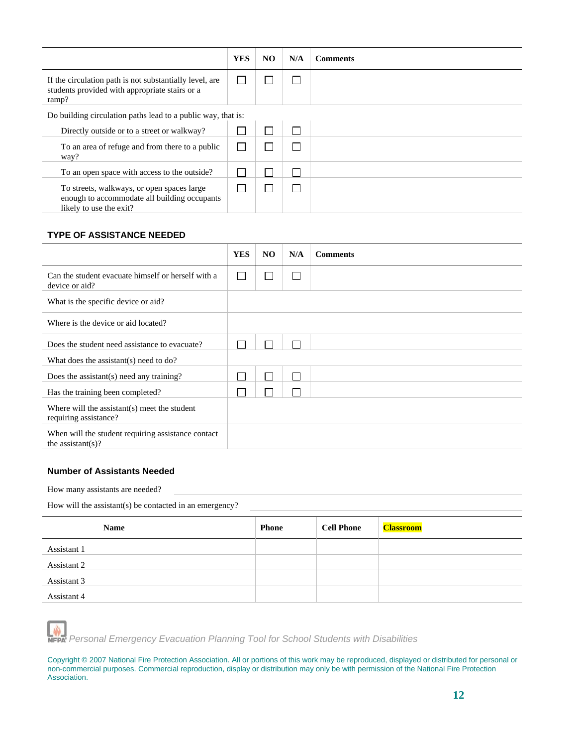|                                                                                                                       | <b>YES</b> | NO. | N/A | <b>Comments</b> |  |  |  |
|-----------------------------------------------------------------------------------------------------------------------|------------|-----|-----|-----------------|--|--|--|
| If the circulation path is not substantially level, are<br>students provided with appropriate stairs or a<br>ramp?    |            |     |     |                 |  |  |  |
| Do building circulation paths lead to a public way, that is:                                                          |            |     |     |                 |  |  |  |
| Directly outside or to a street or walkway?                                                                           |            |     |     |                 |  |  |  |
| To an area of refuge and from there to a public<br>way?                                                               |            |     |     |                 |  |  |  |
| To an open space with access to the outside?                                                                          |            |     |     |                 |  |  |  |
| To streets, walkways, or open spaces large<br>enough to accommodate all building occupants<br>likely to use the exit? |            |     |     |                 |  |  |  |

#### **TYPE OF ASSISTANCE NEEDED**

|                                                                          | <b>YES</b> | NO. | N/A | <b>Comments</b> |
|--------------------------------------------------------------------------|------------|-----|-----|-----------------|
| Can the student evacuate himself or herself with a<br>device or aid?     |            |     |     |                 |
| What is the specific device or aid?                                      |            |     |     |                 |
| Where is the device or aid located?                                      |            |     |     |                 |
| Does the student need assistance to evacuate?                            |            |     |     |                 |
| What does the assistant(s) need to do?                                   |            |     |     |                 |
| Does the assistant(s) need any training?                                 |            |     | П   |                 |
| Has the training been completed?                                         |            |     |     |                 |
| Where will the assistant $(s)$ meet the student<br>requiring assistance? |            |     |     |                 |
| When will the student requiring assistance contact<br>the assistant(s)?  |            |     |     |                 |

#### **Number of Assistants Needed**

How many assistants are needed?

How will the assistant(s) be contacted in an emergency?

| <b>Name</b> | <b>Phone</b> | <b>Cell Phone</b> | <b>Classroom</b> |
|-------------|--------------|-------------------|------------------|
| Assistant 1 |              |                   |                  |
| Assistant 2 |              |                   |                  |
| Assistant 3 |              |                   |                  |
| Assistant 4 |              |                   |                  |



*Personal Emergency Evacuation Planning Tool for School Students with Disabilities*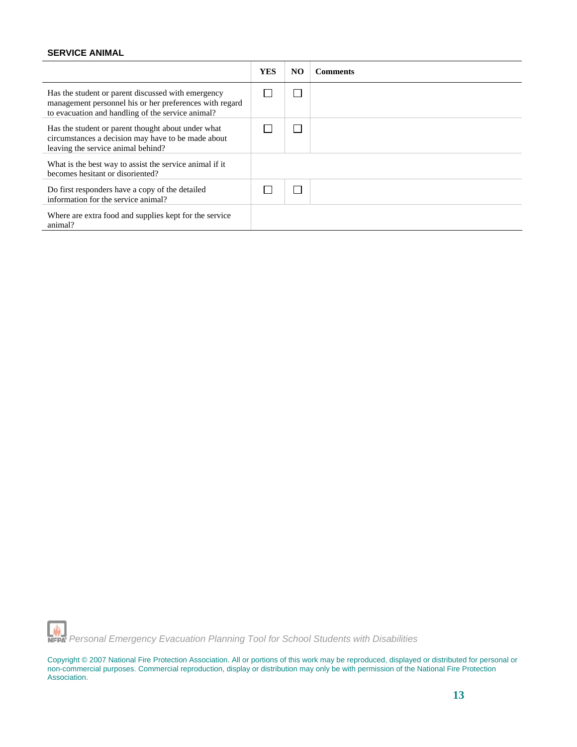#### **SERVICE ANIMAL**

|                                                                                                                                                                    | <b>YES</b> | NO. | <b>Comments</b> |
|--------------------------------------------------------------------------------------------------------------------------------------------------------------------|------------|-----|-----------------|
| Has the student or parent discussed with emergency<br>management personnel his or her preferences with regard<br>to evacuation and handling of the service animal? |            |     |                 |
| Has the student or parent thought about under what<br>circumstances a decision may have to be made about<br>leaving the service animal behind?                     |            |     |                 |
| What is the best way to assist the service animal if it<br>becomes hesitant or disoriented?                                                                        |            |     |                 |
| Do first responders have a copy of the detailed<br>information for the service animal?                                                                             |            |     |                 |
| Where are extra food and supplies kept for the service<br>animal?                                                                                                  |            |     |                 |

*Personal Emergency Evacuation Planning Tool for School Students with Disabilities*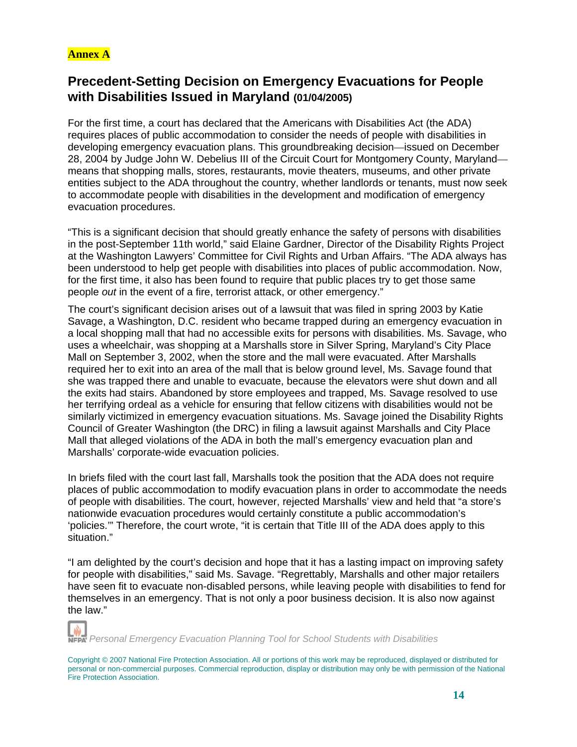#### **Annex A**

### **Precedent-Setting Decision on Emergency Evacuations for People with Disabilities Issued in Maryland (01/04/2005)**

For the first time, a court has declared that the Americans with Disabilities Act (the ADA) requires places of public accommodation to consider the needs of people with disabilities in developing emergency evacuation plans. This groundbreaking decision—issued on December 28, 2004 by Judge John W. Debelius III of the Circuit Court for Montgomery County, Maryland means that shopping malls, stores, restaurants, movie theaters, museums, and other private entities subject to the ADA throughout the country, whether landlords or tenants, must now seek to accommodate people with disabilities in the development and modification of emergency evacuation procedures.

"This is a significant decision that should greatly enhance the safety of persons with disabilities in the post-September 11th world," said Elaine Gardner, Director of the Disability Rights Project at the Washington Lawyers' Committee for Civil Rights and Urban Affairs. "The ADA always has been understood to help get people with disabilities into places of public accommodation. Now, for the first time, it also has been found to require that public places try to get those same people *out* in the event of a fire, terrorist attack, or other emergency."

The court's significant decision arises out of a lawsuit that was filed in spring 2003 by Katie Savage, a Washington, D.C. resident who became trapped during an emergency evacuation in a local shopping mall that had no accessible exits for persons with disabilities. Ms. Savage, who uses a wheelchair, was shopping at a Marshalls store in Silver Spring, Maryland's City Place Mall on September 3, 2002, when the store and the mall were evacuated. After Marshalls required her to exit into an area of the mall that is below ground level, Ms. Savage found that she was trapped there and unable to evacuate, because the elevators were shut down and all the exits had stairs. Abandoned by store employees and trapped, Ms. Savage resolved to use her terrifying ordeal as a vehicle for ensuring that fellow citizens with disabilities would not be similarly victimized in emergency evacuation situations. Ms. Savage joined the Disability Rights Council of Greater Washington (the DRC) in filing a lawsuit against Marshalls and City Place Mall that alleged violations of the ADA in both the mall's emergency evacuation plan and Marshalls' corporate-wide evacuation policies.

In briefs filed with the court last fall, Marshalls took the position that the ADA does not require places of public accommodation to modify evacuation plans in order to accommodate the needs of people with disabilities. The court, however, rejected Marshalls' view and held that "a store's nationwide evacuation procedures would certainly constitute a public accommodation's 'policies.'" Therefore, the court wrote, "it is certain that Title III of the ADA does apply to this situation."

"I am delighted by the court's decision and hope that it has a lasting impact on improving safety for people with disabilities," said Ms. Savage. "Regrettably, Marshalls and other major retailers have seen fit to evacuate non-disabled persons, while leaving people with disabilities to fend for themselves in an emergency. That is not only a poor business decision. It is also now against the law."

*Personal Emergency Evacuation Planning Tool for School Students with Disabilities*